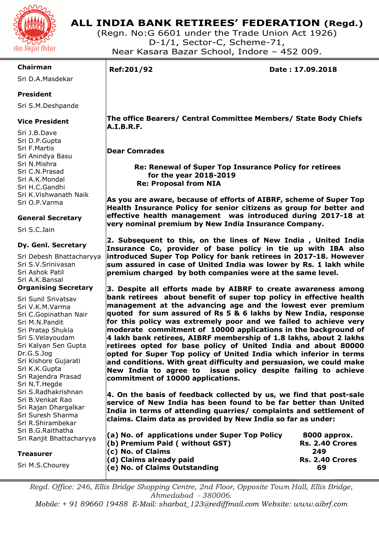

# **ALL INDIA BANK RETIREES' FEDERATION (Regd.)**

(Regn. No:G 6601 under the Trade Union Act 1926) D-1/1, Sector-C, Scheme-71, Near Kasara Bazar School, Indore – 452 009.

#### **Chairman**

Sri D.A.Masdekar

# **President**

Sri S.M.Deshpande

# **Vice President**

Sri J.B.Dave Sri D.P.Gupta Sri F.Martis Sri Anindya Basu Sri N.Mishra Sri C.N.Prasad Sri A.K.Mondal Sri H.C.Gandhi Sri K.Vishwanath Naik Sri O.P.Varma

# **General Secretary**

Sri S.C.Jain

#### **Dy. Genl. Secretary**

Sri Debesh Bhattacharyya Sri S.V.Srinivasan Sri Ashok Patil Sri A.K.Bansal **Organising Secretary** 

Sri Sunil Srivatsav Sri V.K.M.Varma Sri C.Gopinathan Nair Sri M.N.Pandit Sri Pratap Shukla Sri S.Velayoudam Sri Kalyan Sen Gupta Dr.G.S.Jog Sri Kishore Gujarati Sri K.K.Gupta Sri Rajendra Prasad Sri N.T.Hegde Sri S.Radhakrishnan Sri B.Venkat Rao Sri Rajan Dhargalkar Sri Suresh Sharma Sri R.Shirambekar Sri B.G.Raithatha Sri Ranjit B

#### **Treasurer**

Sri M.S.Cho

I

**Ref:201/92 Date : 17.09.2018** 

 **The office Bearers/ Central Committee Members/ State Body Chiefs A.I.B.R.F.** 

# **Dear Comrades**

 **Re: Renewal of Super Top Insurance Policy for retirees for the year 2018-2019 Re: Proposal from NIA** 

**As you are aware, because of efforts of AIBRF, scheme of Super Top Health Insurance Policy for senior citizens as group for better and effective health management was introduced during 2017-18 at very nominal premium by New India Insurance Company.** 

**2. Subsequent to this, on the lines of New India , United India Insurance Co, provider of base policy in tie up with IBA also introduced Super Top Policy for bank retirees in 2017-18. However sum assured in case of United India was lower by Rs. 1 lakh while premium charged by both companies were at the same level.** 

**3. Despite all efforts made by AIBRF to create awareness among bank retirees about benefit of super top policy in effective health management at the advancing age and the lowest ever premium quoted for sum assured of Rs 5 & 6 lakhs by New India, response for this policy was extremely poor and we failed to achieve very moderate commitment of 10000 applications in the background of 4 lakh bank retirees, AIBRF membership of 1.8 lakhs, about 2 lakhs retirees opted for base policy of United India and about 80000 opted for Super Top policy of United India which inferior in terms and conditions. With great difficulty and persuasion, we could make New India to agree to issue policy despite failing to achieve commitment of 10000 applications.** 

**4. On the basis of feedback collected by us, we find that post-sale service of New India has been found to be far better than United India in terms of attending quarries/ complaints and settlement of claims. Claim data as provided by New India so far as under:** 

| ulatila<br>Bhattacharyya | $\vert$ (a) No. of applications under Super Top Policy | 8000 approx.           |  |
|--------------------------|--------------------------------------------------------|------------------------|--|
|                          | $($ b) Premium Paid (without GST)                      | <b>Rs. 2.40 Crores</b> |  |
|                          | $(c)$ No. of Claims                                    | 249                    |  |
|                          | $(d)$ Claims already paid                              | <b>Rs. 2.40 Crores</b> |  |
| วurev                    | $\vert$ (e) No. of Claims Outstanding                  | 69                     |  |
|                          |                                                        |                        |  |

*Regd. Office: 246, Ellis Bridge Shopping Centre, 2nd Floor, Opposite Town Hall, Ellis Bridge, Ahmedabad - 380006.* 

*Mobile: + 91 89660 19488 E-Mail: sharbat\_123@rediffmail.com Website: www.aibrf.com*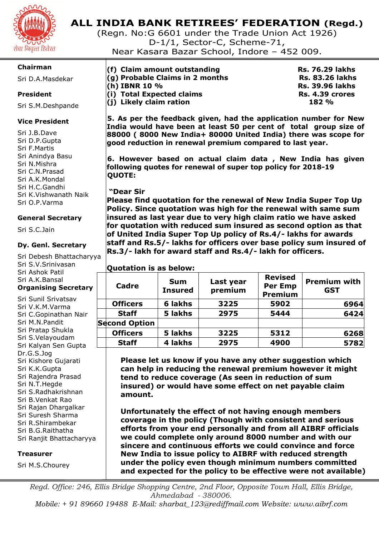

# **ALL INDIA BANK RETIREES' FEDERATION (Regd.)**

(Regn. No:G 6601 under the Trade Union Act 1926) D-1/1, Sector-C, Scheme-71,

Near Kasara Bazar School, Indore – 452 009.

# **Chairman**

Sri D.A.Masdekar

# **President**

Sri S.M.Deshpande

# **Vice President**

Sri J.B.Dave Sri D.P.Gupta Sri F.Martis Sri Anindya Basu Sri N.Mishra Sri C.N.Prasad Sri A.K.Mondal Sri H.C.Gandhi Sri K.Vishwanath Naik Sri O.P.Varma

# **General Secretary**

Sri S.C.Jain

# **Dy. Genl. Secretary**

Sri Debesh Bhattacharyya Sri S.V.Srinivasan Sri Ashok Patil Sri A.K.Bansal **Organising Secretary** 

Sri Sunil Srivatsav Sri V.K.M.Varma Sri C.Gopinathan Nair Sri M.N.Pandit Sri Pratap Shukla Sri S.Velayoudam Sri Kalyan Sen Gupta Dr.G.S.Jog Sri Kishore Gujarati Sri K.K.Gupta Sri Rajendra Prasad Sri N.T.Hegde Sri S.Radhakrishnan Sri B.Venkat Rao Sri Rajan Dhargalkar Sri Suresh Sharma Sri R.Shirambekar Sri B.G.Raithatha Sri Ranjit Bhattacharyya

#### **Treasurer**

Sri M.S.Chourey

| (f) Claim amount outstanding    | <b>Rs. 76.29 lakhs</b> |
|---------------------------------|------------------------|
| (g) Probable Claims in 2 months | <b>Rs. 83.26 lakhs</b> |
| (h) IBNR 10 %                   | <b>Rs. 39.96 lakhs</b> |
| (i) Total Expected claims       | Rs. 4.39 crores        |
| (j) Likely claim ration         | 182%                   |
|                                 |                        |

**5. As per the feedback given, had the application number for New India would have been at least 50 per cent of total group size of 88000 ( 8000 New India+ 80000 United India) there was scope for good reduction in renewal premium compared to last year.** 

**6. However based on actual claim data , New India has given following quotes for renewal of super top policy for 2018-19 QUOTE:** 

#### **"Dear Sir**

**Please find quotation for the renewal of New India Super Top Up Policy. Since quotation was high for the renewal with same sum insured as last year due to very high claim ratio we have asked for quotation with reduced sum insured as second option as that of United India Super Top Up policy of Rs.4/- lakhs for awards staff and Rs.5/- lakhs for officers over base policy sum insured of Rs.3/- lakh for award staff and Rs.4/- lakh for officers.** 

# **Quotation is as below:**

| Cadre                | <b>Sum</b><br><b>Insured</b> | Last year<br>premium | <b>Revised</b><br><b>Per Emp</b><br><b>Premium</b> | <b>Premium with</b><br><b>GST</b> |
|----------------------|------------------------------|----------------------|----------------------------------------------------|-----------------------------------|
| <b>Officers</b>      | 6 lakhs                      | 3225                 | 5902                                               | 6964                              |
| <b>Staff</b>         | 5 lakhs                      | 2975                 | 5444                                               | 6424                              |
| <b>Second Option</b> |                              |                      |                                                    |                                   |
| <b>Officers</b>      | 5 lakhs                      | 3225                 | 5312                                               | 6268                              |
| <b>Staff</b>         | 4 lakhs                      | 2975                 | 4900                                               | 5782                              |

**Please let us know if you have any other suggestion which can help in reducing the renewal premium however it might tend to reduce coverage (As seen in reduction of sum insured) or would have some effect on net payable claim amount.** 

**Unfortunately the effect of not having enough members coverage in the policy (Though with consistent and serious efforts from your end personally and from all AIBRF officials we could complete only around 8000 number and with our sincere and continuous efforts we could convince and force New India to issue policy to AIBRF with reduced strength under the policy even though minimum numbers committed and expected for the policy to be effective were not available)** 

*Regd. Office: 246, Ellis Bridge Shopping Centre, 2nd Floor, Opposite Town Hall, Ellis Bridge, Ahmedabad - 380006. Mobile: + 91 89660 19488 E-Mail: sharbat\_123@rediffmail.com Website: www.aibrf.com*